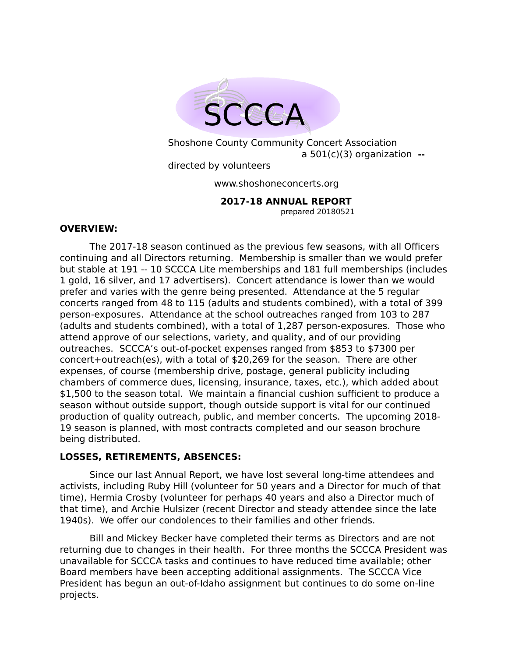

Shoshone County Community Concert Association a 501(c)(3) organization **-** directed by volunteers

www.shoshoneconcerts.org

 **2017-18 ANNUAL REPORT**

prepared 20180521

#### **OVERVIEW:**

The 2017-18 season continued as the previous few seasons, with all Officers continuing and all Directors returning. Membership is smaller than we would prefer but stable at 191 -- 10 SCCCA Lite memberships and 181 full memberships (includes 1 gold, 16 silver, and 17 advertisers). Concert attendance is lower than we would prefer and varies with the genre being presented. Attendance at the 5 regular concerts ranged from 48 to 115 (adults and students combined), with a total of 399 person-exposures. Attendance at the school outreaches ranged from 103 to 287 (adults and students combined), with a total of 1,287 person-exposures. Those who attend approve of our selections, variety, and quality, and of our providing outreaches. SCCCA's out-of-pocket expenses ranged from \$853 to \$7300 per concert+outreach(es), with a total of \$20,269 for the season. There are other expenses, of course (membership drive, postage, general publicity including chambers of commerce dues, licensing, insurance, taxes, etc.), which added about \$1,500 to the season total. We maintain a financial cushion sufficient to produce a season without outside support, though outside support is vital for our continued production of quality outreach, public, and member concerts. The upcoming 2018- 19 season is planned, with most contracts completed and our season brochure being distributed.

## **LOSSES, RETIREMENTS, ABSENCES:**

Since our last Annual Report, we have lost several long-time attendees and activists, including Ruby Hill (volunteer for 50 years and a Director for much of that time), Hermia Crosby (volunteer for perhaps 40 years and also a Director much of that time), and Archie Hulsizer (recent Director and steady attendee since the late 1940s). We offer our condolences to their families and other friends.

Bill and Mickey Becker have completed their terms as Directors and are not returning due to changes in their health. For three months the SCCCA President was unavailable for SCCCA tasks and continues to have reduced time available; other Board members have been accepting additional assignments. The SCCCA Vice President has begun an out-of-Idaho assignment but continues to do some on-line projects.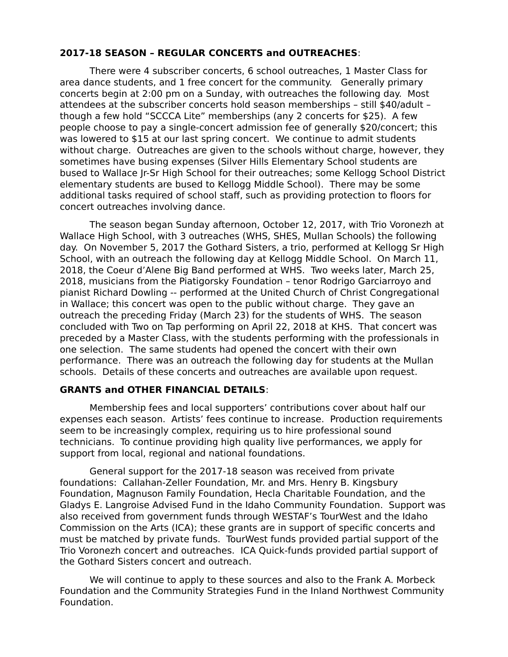# **2017-18 SEASON – REGULAR CONCERTS and OUTREACHES**:

There were 4 subscriber concerts, 6 school outreaches, 1 Master Class for area dance students, and 1 free concert for the community. Generally primary concerts begin at 2:00 pm on a Sunday, with outreaches the following day. Most attendees at the subscriber concerts hold season memberships – still \$40/adult – though a few hold "SCCCA Lite" memberships (any 2 concerts for \$25). A few people choose to pay a single-concert admission fee of generally \$20/concert; this was lowered to \$15 at our last spring concert. We continue to admit students without charge. Outreaches are given to the schools without charge, however, they sometimes have busing expenses (Silver Hills Elementary School students are bused to Wallace Jr-Sr High School for their outreaches; some Kellogg School District elementary students are bused to Kellogg Middle School). There may be some additional tasks required of school staff, such as providing protection to floors for concert outreaches involving dance.

The season began Sunday afternoon, October 12, 2017, with Trio Voronezh at Wallace High School, with 3 outreaches (WHS, SHES, Mullan Schools) the following day. On November 5, 2017 the Gothard Sisters, a trio, performed at Kellogg Sr High School, with an outreach the following day at Kellogg Middle School. On March 11, 2018, the Coeur d'Alene Big Band performed at WHS. Two weeks later, March 25, 2018, musicians from the Piatigorsky Foundation – tenor Rodrigo Garciarroyo and pianist Richard Dowling -- performed at the United Church of Christ Congregational in Wallace; this concert was open to the public without charge. They gave an outreach the preceding Friday (March 23) for the students of WHS. The season concluded with Two on Tap performing on April 22, 2018 at KHS. That concert was preceded by a Master Class, with the students performing with the professionals in one selection. The same students had opened the concert with their own performance. There was an outreach the following day for students at the Mullan schools. Details of these concerts and outreaches are available upon request.

## **GRANTS and OTHER FINANCIAL DETAILS**:

Membership fees and local supporters' contributions cover about half our expenses each season. Artists' fees continue to increase. Production requirements seem to be increasingly complex, requiring us to hire professional sound technicians. To continue providing high quality live performances, we apply for support from local, regional and national foundations.

General support for the 2017-18 season was received from private foundations: Callahan-Zeller Foundation, Mr. and Mrs. Henry B. Kingsbury Foundation, Magnuson Family Foundation, Hecla Charitable Foundation, and the Gladys E. Langroise Advised Fund in the Idaho Community Foundation. Support was also received from government funds through WESTAF's TourWest and the Idaho Commission on the Arts (ICA); these grants are in support of specific concerts and must be matched by private funds. TourWest funds provided partial support of the Trio Voronezh concert and outreaches. ICA Quick-funds provided partial support of the Gothard Sisters concert and outreach.

We will continue to apply to these sources and also to the Frank A. Morbeck Foundation and the Community Strategies Fund in the Inland Northwest Community Foundation.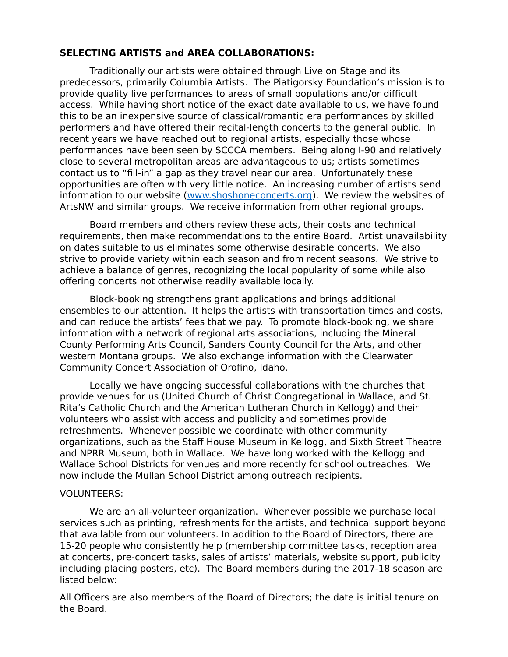## **SELECTING ARTISTS and AREA COLLABORATIONS:**

Traditionally our artists were obtained through Live on Stage and its predecessors, primarily Columbia Artists. The Piatigorsky Foundation's mission is to provide quality live performances to areas of small populations and/or difficult access. While having short notice of the exact date available to us, we have found this to be an inexpensive source of classical/romantic era performances by skilled performers and have offered their recital-length concerts to the general public. In recent years we have reached out to regional artists, especially those whose performances have been seen by SCCCA members. Being along I-90 and relatively close to several metropolitan areas are advantageous to us; artists sometimes contact us to "fill-in" a gap as they travel near our area. Unfortunately these opportunities are often with very little notice. An increasing number of artists send information to our website [\(www.shoshoneconcerts.org\)](http://www.shoshoneconcerts.org/). We review the websites of ArtsNW and similar groups. We receive information from other regional groups.

Board members and others review these acts, their costs and technical requirements, then make recommendations to the entire Board. Artist unavailability on dates suitable to us eliminates some otherwise desirable concerts. We also strive to provide variety within each season and from recent seasons. We strive to achieve a balance of genres, recognizing the local popularity of some while also offering concerts not otherwise readily available locally.

Block-booking strengthens grant applications and brings additional ensembles to our attention. It helps the artists with transportation times and costs, and can reduce the artists' fees that we pay. To promote block-booking, we share information with a network of regional arts associations, including the Mineral County Performing Arts Council, Sanders County Council for the Arts, and other western Montana groups. We also exchange information with the Clearwater Community Concert Association of Orofino, Idaho.

Locally we have ongoing successful collaborations with the churches that provide venues for us (United Church of Christ Congregational in Wallace, and St. Rita's Catholic Church and the American Lutheran Church in Kellogg) and their volunteers who assist with access and publicity and sometimes provide refreshments. Whenever possible we coordinate with other community organizations, such as the Staff House Museum in Kellogg, and Sixth Street Theatre and NPRR Museum, both in Wallace. We have long worked with the Kellogg and Wallace School Districts for venues and more recently for school outreaches. We now include the Mullan School District among outreach recipients.

#### VOLUNTEERS:

We are an all-volunteer organization. Whenever possible we purchase local services such as printing, refreshments for the artists, and technical support beyond that available from our volunteers. In addition to the Board of Directors, there are 15-20 people who consistently help (membership committee tasks, reception area at concerts, pre-concert tasks, sales of artists' materials, website support, publicity including placing posters, etc). The Board members during the 2017-18 season are listed below:

All Officers are also members of the Board of Directors; the date is initial tenure on the Board.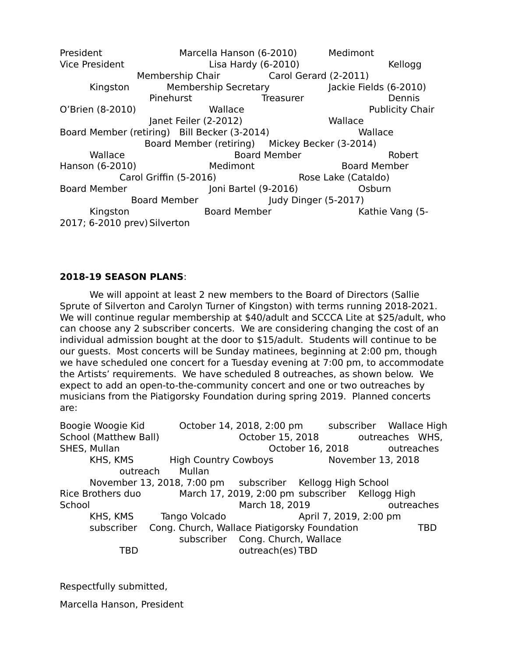President Marcella Hanson (6-2010) Medimont Vice President Lisa Hardy (6-2010) Kellogg Membership Chair Carol Gerard (2-2011) Kingston Membership Secretary Jackie Fields (6-2010) Pinehurst Treasurer Dennis O'Brien (8-2010) **Wallace Wallace** Publicity Chair Janet Feiler (2-2012) Wallace Board Member (retiring) Bill Becker (3-2014) Wallace Board Member (retiring) Mickey Becker (3-2014) Wallace **Board Member** Board Member Robert Hanson (6-2010) Medimont Board Member Carol Griffin (5-2016) Rose Lake (Cataldo) Board Member Joni Bartel (9-2016) Osburn Board Member Judy Dinger (5-2017) Kingston Board Member Kathie Vang (5-2017; 6-2010 prev) Silverton

# **2018-19 SEASON PLANS**:

We will appoint at least 2 new members to the Board of Directors (Sallie Sprute of Silverton and Carolyn Turner of Kingston) with terms running 2018-2021. We will continue regular membership at \$40/adult and SCCCA Lite at \$25/adult, who can choose any 2 subscriber concerts. We are considering changing the cost of an individual admission bought at the door to \$15/adult. Students will continue to be our guests. Most concerts will be Sunday matinees, beginning at 2:00 pm, though we have scheduled one concert for a Tuesday evening at 7:00 pm, to accommodate the Artists' requirements. We have scheduled 8 outreaches, as shown below. We expect to add an open-to-the-community concert and one or two outreaches by musicians from the Piatigorsky Foundation during spring 2019. Planned concerts are:

Boogie Woogie Kid October 14, 2018, 2:00 pm subscriber Wallace High School (Matthew Ball) **School (Matthew Ball**) **October 15, 2018** outreaches WHS, SHES, Mullan October 16, 2018 outreaches KHS, KMS High Country Cowboys November 13, 2018 outreach Mullan November 13, 2018, 7:00 pm subscriber Kellogg High School Rice Brothers duo March 17, 2019, 2:00 pm subscriber Kellogg High School March 18, 2019 outreaches KHS, KMS Tango Volcado April 7, 2019, 2:00 pm subscriber Cong. Church, Wallace Piatigorsky Foundation TBD subscriber Cong. Church, Wallace TBD outreach(es) TBD

Respectfully submitted,

Marcella Hanson, President